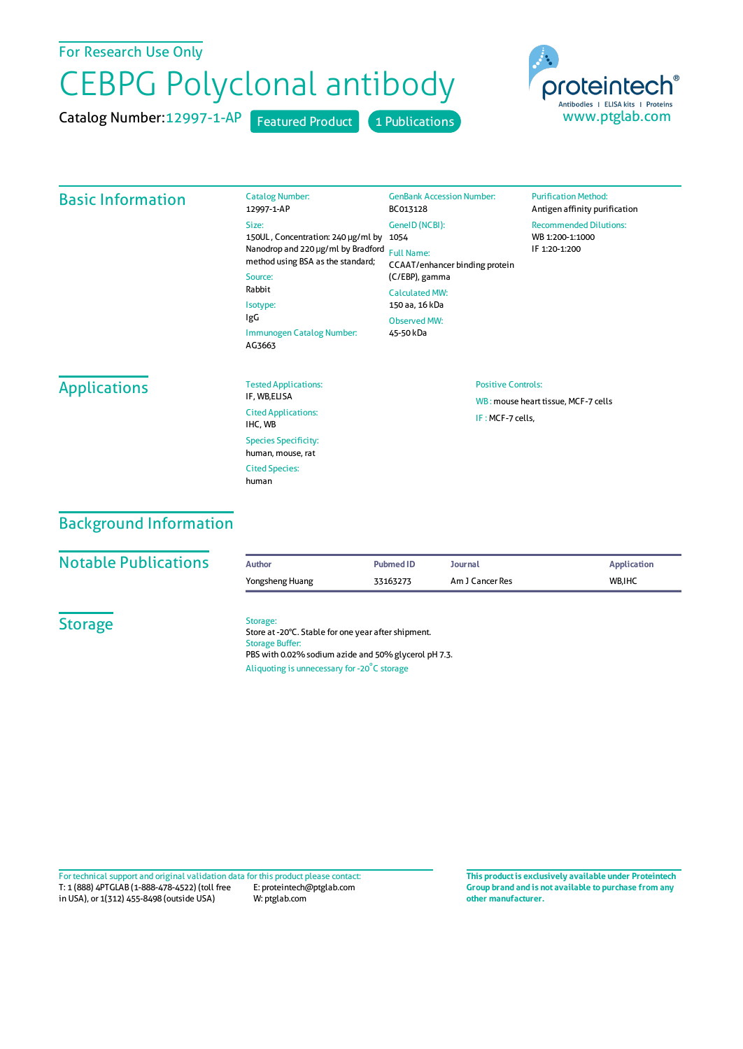## For Research Use Only

# CEBPG Polyclonal antibody

Catalog Number: 12997-1-AP Featured Product 1 Publications



#### Basic Information

|  | <b>Catalog Number:</b><br>12997-1-AP                                                                                                                                                                  | <b>GenBank Accession Number:</b><br>BC013128                                                    | <b>Purification Method:</b><br>Antigen affinity purification      |  |
|--|-------------------------------------------------------------------------------------------------------------------------------------------------------------------------------------------------------|-------------------------------------------------------------------------------------------------|-------------------------------------------------------------------|--|
|  | Size:<br>150UL, Concentration: 240 µg/ml by<br>Nanodrop and 220 µg/ml by Bradford<br>method using BSA as the standard;<br>Source:<br>Rabbit<br>Isotype:<br>IgG<br>Immunogen Catalog Number:<br>AG3663 | GeneID (NCBI):<br>1054<br><b>Full Name:</b><br>CCAAT/enhancer binding protein<br>(C/EBP), gamma | <b>Recommended Dilutions:</b><br>WB 1:200-1:1000<br>IF 1:20-1:200 |  |
|  |                                                                                                                                                                                                       | <b>Calculated MW:</b><br>150 aa, 16 kDa                                                         |                                                                   |  |
|  |                                                                                                                                                                                                       | Observed MW:<br>45-50 kDa                                                                       |                                                                   |  |

#### **Applications**

| <b>Tested Applications:</b><br>IF, WB,ELISA      |
|--------------------------------------------------|
| <b>Cited Applications:</b><br>IHC. WB            |
| <b>Species Specificity:</b><br>human, mouse, rat |
| <b>Cited Species:</b><br>human                   |

#### Positive Controls:

WB : mouse heart tissue, MCF-7 cells IF :MCF-7 cells,

# Background Information

| <b>Notable Publications</b> | <b>Author</b>                                                                                                                                                                                    | <b>Pubmed ID</b> | Journal         | <b>Application</b> |  |  |
|-----------------------------|--------------------------------------------------------------------------------------------------------------------------------------------------------------------------------------------------|------------------|-----------------|--------------------|--|--|
|                             | Yongsheng Huang                                                                                                                                                                                  | 33163273         | Am J Cancer Res | WB.IHC             |  |  |
| <b>Storage</b>              | Storage:<br>Store at -20°C. Stable for one year after shipment.<br><b>Storage Buffer:</b><br>PBS with 0.02% sodium azide and 50% glycerol pH 7.3.<br>Aliquoting is unnecessary for -20°C storage |                  |                 |                    |  |  |

T: 1 (888) 4PTGLAB (1-888-478-4522) (toll free in USA), or 1(312) 455-8498 (outside USA) E: proteintech@ptglab.com W: ptglab.com Fortechnical support and original validation data forthis product please contact: **This productis exclusively available under Proteintech**

**Group brand and is not available to purchase from any other manufacturer.**